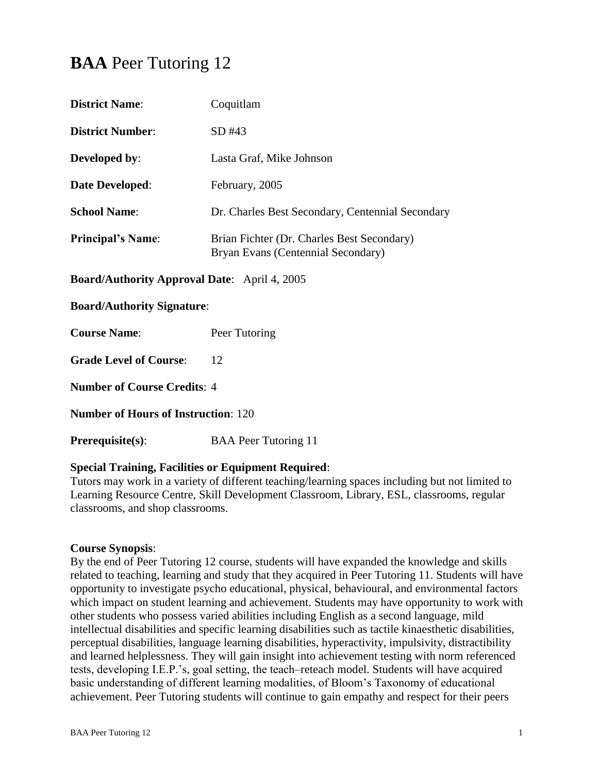# **BAA** Peer Tutoring 12

| <b>District Name:</b>                               | Coquitlam                                                                        |  |
|-----------------------------------------------------|----------------------------------------------------------------------------------|--|
| <b>District Number:</b>                             | SD#43                                                                            |  |
| <b>Developed by:</b>                                | Lasta Graf, Mike Johnson                                                         |  |
| <b>Date Developed:</b>                              | February, 2005                                                                   |  |
| <b>School Name:</b>                                 | Dr. Charles Best Secondary, Centennial Secondary                                 |  |
| <b>Principal's Name:</b>                            | Brian Fichter (Dr. Charles Best Secondary)<br>Bryan Evans (Centennial Secondary) |  |
| <b>Board/Authority Approval Date:</b> April 4, 2005 |                                                                                  |  |

#### **Board/Authority Signature**:

**Course Name:** Peer Tutoring

**Grade Level of Course:** 12

**Number of Course Credits**: 4

**Number of Hours of Instruction**: 120

**Prerequisite(s):** BAA Peer Tutoring 11

#### **Special Training, Facilities or Equipment Required**:

Tutors may work in a variety of different teaching/learning spaces including but not limited to Learning Resource Centre, Skill Development Classroom, Library, ESL, classrooms, regular classrooms, and shop classrooms.

#### **Course Synopsis**:

By the end of Peer Tutoring 12 course, students will have expanded the knowledge and skills related to teaching, learning and study that they acquired in Peer Tutoring 11. Students will have opportunity to investigate psycho educational, physical, behavioural, and environmental factors which impact on student learning and achievement. Students may have opportunity to work with other students who possess varied abilities including English as a second language, mild intellectual disabilities and specific learning disabilities such as tactile kinaesthetic disabilities, perceptual disabilities, language learning disabilities, hyperactivity, impulsivity, distractibility and learned helplessness. They will gain insight into achievement testing with norm referenced tests, developing I.E.P.'s, goal setting, the teach–reteach model. Students will have acquired basic understanding of different learning modalities, of Bloom's Taxonomy of educational achievement. Peer Tutoring students will continue to gain empathy and respect for their peers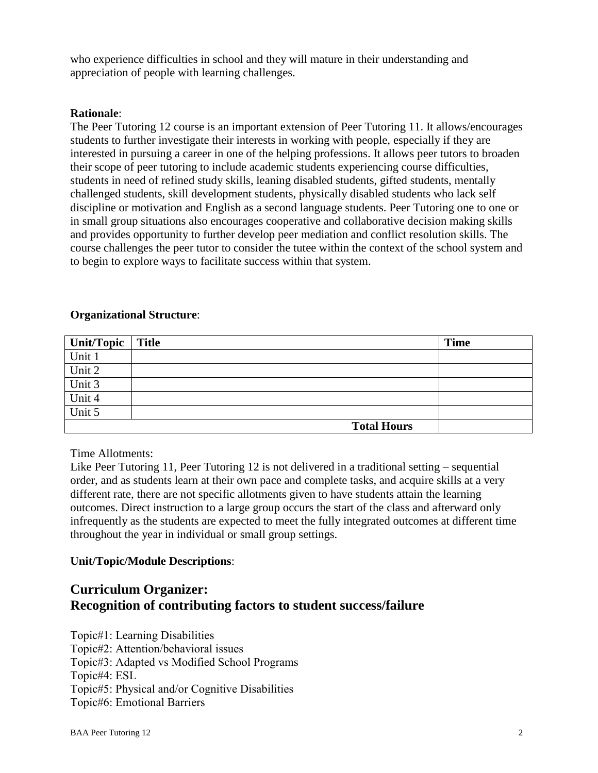who experience difficulties in school and they will mature in their understanding and appreciation of people with learning challenges.

#### **Rationale**:

The Peer Tutoring 12 course is an important extension of Peer Tutoring 11. It allows/encourages students to further investigate their interests in working with people, especially if they are interested in pursuing a career in one of the helping professions. It allows peer tutors to broaden their scope of peer tutoring to include academic students experiencing course difficulties, students in need of refined study skills, leaning disabled students, gifted students, mentally challenged students, skill development students, physically disabled students who lack self discipline or motivation and English as a second language students. Peer Tutoring one to one or in small group situations also encourages cooperative and collaborative decision making skills and provides opportunity to further develop peer mediation and conflict resolution skills. The course challenges the peer tutor to consider the tutee within the context of the school system and to begin to explore ways to facilitate success within that system.

#### **Organizational Structure**:

| Unit/Topic | <b>Title</b>       | <b>Time</b> |
|------------|--------------------|-------------|
| Unit 1     |                    |             |
| Unit 2     |                    |             |
| Unit 3     |                    |             |
| Unit 4     |                    |             |
| Unit 5     |                    |             |
|            | <b>Total Hours</b> |             |

Time Allotments:

Like Peer Tutoring 11, Peer Tutoring 12 is not delivered in a traditional setting – sequential order, and as students learn at their own pace and complete tasks, and acquire skills at a very different rate, there are not specific allotments given to have students attain the learning outcomes. Direct instruction to a large group occurs the start of the class and afterward only infrequently as the students are expected to meet the fully integrated outcomes at different time throughout the year in individual or small group settings.

## **Unit/Topic/Module Descriptions**:

## **Curriculum Organizer: Recognition of contributing factors to student success/failure**

Topic#1: Learning Disabilities

Topic#2: Attention/behavioral issues

Topic#3: Adapted vs Modified School Programs

Topic#4: ESL

Topic#5: Physical and/or Cognitive Disabilities

Topic#6: Emotional Barriers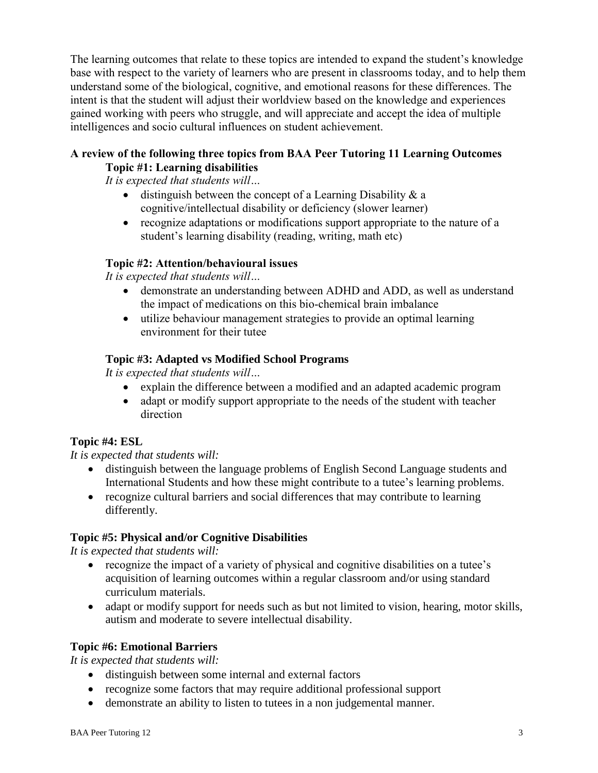The learning outcomes that relate to these topics are intended to expand the student's knowledge base with respect to the variety of learners who are present in classrooms today, and to help them understand some of the biological, cognitive, and emotional reasons for these differences. The intent is that the student will adjust their worldview based on the knowledge and experiences gained working with peers who struggle, and will appreciate and accept the idea of multiple intelligences and socio cultural influences on student achievement.

## **A review of the following three topics from BAA Peer Tutoring 11 Learning Outcomes Topic #1: Learning disabilities**

*It is expected that students will…*

- $\bullet$  distinguish between the concept of a Learning Disability & a cognitive/intellectual disability or deficiency (slower learner)
- recognize adaptations or modifications support appropriate to the nature of a student's learning disability (reading, writing, math etc)

## **Topic #2: Attention/behavioural issues**

*It is expected that students will…*

- demonstrate an understanding between ADHD and ADD, as well as understand the impact of medications on this bio-chemical brain imbalance
- utilize behaviour management strategies to provide an optimal learning environment for their tutee

## **Topic #3: Adapted vs Modified School Programs**

*It is expected that students will…*

- explain the difference between a modified and an adapted academic program
- adapt or modify support appropriate to the needs of the student with teacher direction

## **Topic #4: ESL**

## *It is expected that students will:*

- distinguish between the language problems of English Second Language students and International Students and how these might contribute to a tutee's learning problems.
- recognize cultural barriers and social differences that may contribute to learning differently.

## **Topic #5: Physical and/or Cognitive Disabilities**

*It is expected that students will:*

- recognize the impact of a variety of physical and cognitive disabilities on a tutee's acquisition of learning outcomes within a regular classroom and/or using standard curriculum materials.
- adapt or modify support for needs such as but not limited to vision, hearing, motor skills, autism and moderate to severe intellectual disability.

## **Topic #6: Emotional Barriers**

*It is expected that students will:*

- distinguish between some internal and external factors
- recognize some factors that may require additional professional support
- demonstrate an ability to listen to tutees in a non judgemental manner.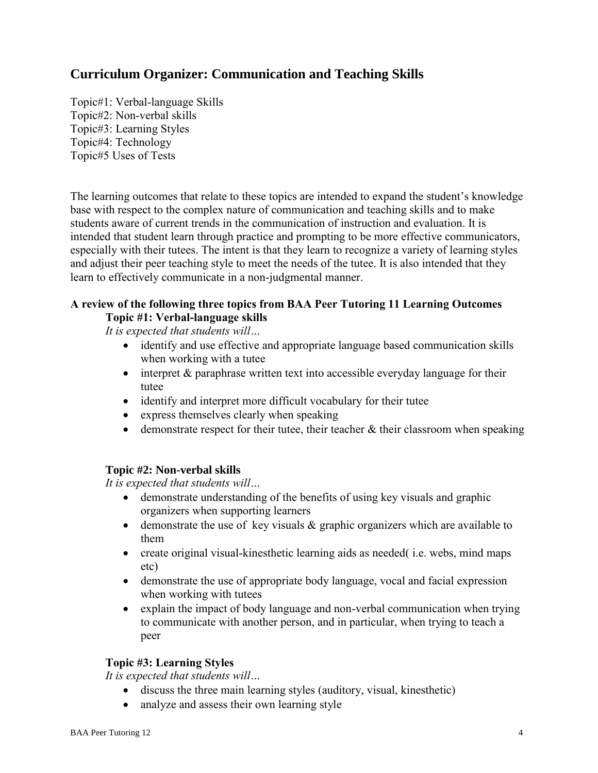## **Curriculum Organizer: Communication and Teaching Skills**

Topic#1: Verbal-language Skills Topic#2: Non-verbal skills Topic#3: Learning Styles Topic#4: Technology Topic#5 Uses of Tests

The learning outcomes that relate to these topics are intended to expand the student's knowledge base with respect to the complex nature of communication and teaching skills and to make students aware of current trends in the communication of instruction and evaluation. It is intended that student learn through practice and prompting to be more effective communicators, especially with their tutees. The intent is that they learn to recognize a variety of learning styles and adjust their peer teaching style to meet the needs of the tutee. It is also intended that they learn to effectively communicate in a non-judgmental manner.

## **A review of the following three topics from BAA Peer Tutoring 11 Learning Outcomes Topic #1: Verbal-language skills**

*It is expected that students will…*

- identify and use effective and appropriate language based communication skills when working with a tutee
- $\bullet$  interpret  $\&$  paraphrase written text into accessible everyday language for their tutee
- identify and interpret more difficult vocabulary for their tutee
- express themselves clearly when speaking
- demonstrate respect for their tutee, their teacher & their classroom when speaking

#### **Topic #2: Non-verbal skills**

*It is expected that students will…*

- demonstrate understanding of the benefits of using key visuals and graphic organizers when supporting learners
- $\bullet$  demonstrate the use of key visuals  $\&$  graphic organizers which are available to them
- create original visual-kinesthetic learning aids as needed( i.e. webs, mind maps etc)
- demonstrate the use of appropriate body language, vocal and facial expression when working with tutees
- explain the impact of body language and non-verbal communication when trying to communicate with another person, and in particular, when trying to teach a peer

#### **Topic #3: Learning Styles**

*It is expected that students will…*

- discuss the three main learning styles (auditory, visual, kinesthetic)
- analyze and assess their own learning style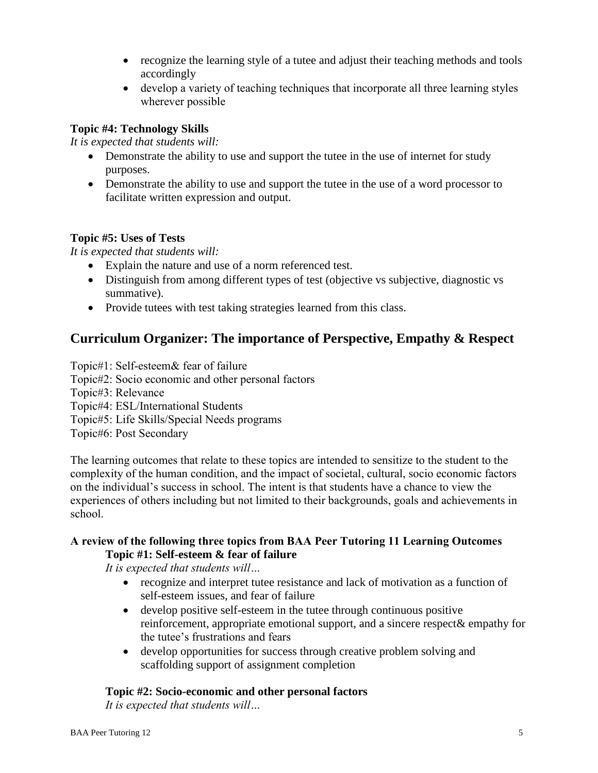- recognize the learning style of a tutee and adjust their teaching methods and tools accordingly
- develop a variety of teaching techniques that incorporate all three learning styles wherever possible

## **Topic #4: Technology Skills**

*It is expected that students will:*

- Demonstrate the ability to use and support the tutee in the use of internet for study purposes.
- Demonstrate the ability to use and support the tutee in the use of a word processor to facilitate written expression and output.

## **Topic #5: Uses of Tests**

*It is expected that students will:*

- Explain the nature and use of a norm referenced test.
- Distinguish from among different types of test (objective vs subjective, diagnostic vs summative).
- Provide tutees with test taking strategies learned from this class.

## **Curriculum Organizer: The importance of Perspective, Empathy & Respect**

- Topic#1: Self-esteem& fear of failure
- Topic#2: Socio economic and other personal factors
- Topic#3: Relevance
- Topic#4: ESL/International Students
- Topic#5: Life Skills/Special Needs programs
- Topic#6: Post Secondary

The learning outcomes that relate to these topics are intended to sensitize to the student to the complexity of the human condition, and the impact of societal, cultural, socio economic factors on the individual's success in school. The intent is that students have a chance to view the experiences of others including but not limited to their backgrounds, goals and achievements in school.

## **A review of the following three topics from BAA Peer Tutoring 11 Learning Outcomes Topic #1: Self-esteem & fear of failure**

*It is expected that students will…*

- recognize and interpret tutee resistance and lack of motivation as a function of self-esteem issues, and fear of failure
- develop positive self-esteem in the tutee through continuous positive reinforcement, appropriate emotional support, and a sincere respect& empathy for the tutee's frustrations and fears
- develop opportunities for success through creative problem solving and scaffolding support of assignment completion

## **Topic #2: Socio-economic and other personal factors**

*It is expected that students will…*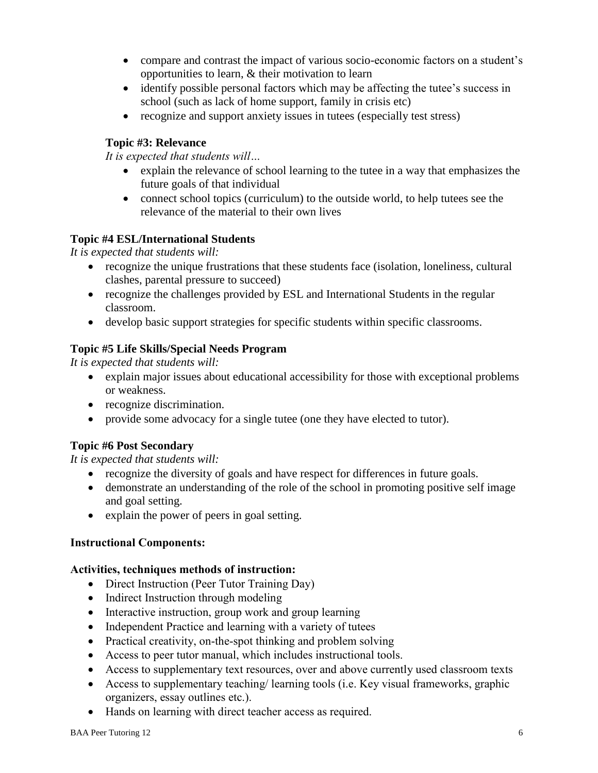- compare and contrast the impact of various socio-economic factors on a student's opportunities to learn, & their motivation to learn
- identify possible personal factors which may be affecting the tutee's success in school (such as lack of home support, family in crisis etc)
- recognize and support anxiety issues in tutees (especially test stress)

## **Topic #3: Relevance**

*It is expected that students will…*

- explain the relevance of school learning to the tutee in a way that emphasizes the future goals of that individual
- connect school topics (curriculum) to the outside world, to help tutees see the relevance of the material to their own lives

## **Topic #4 ESL/International Students**

*It is expected that students will:*

- recognize the unique frustrations that these students face (isolation, loneliness, cultural clashes, parental pressure to succeed)
- recognize the challenges provided by ESL and International Students in the regular classroom.
- develop basic support strategies for specific students within specific classrooms.

## **Topic #5 Life Skills/Special Needs Program**

*It is expected that students will:*

- explain major issues about educational accessibility for those with exceptional problems or weakness.
- recognize discrimination.
- provide some advocacy for a single tutee (one they have elected to tutor).

## **Topic #6 Post Secondary**

*It is expected that students will:*

- recognize the diversity of goals and have respect for differences in future goals.
- demonstrate an understanding of the role of the school in promoting positive self image and goal setting.
- explain the power of peers in goal setting.

## **Instructional Components:**

## **Activities, techniques methods of instruction:**

- Direct Instruction (Peer Tutor Training Day)
- Indirect Instruction through modeling
- Interactive instruction, group work and group learning
- Independent Practice and learning with a variety of tutees
- Practical creativity, on-the-spot thinking and problem solving
- Access to peer tutor manual, which includes instructional tools.
- Access to supplementary text resources, over and above currently used classroom texts
- Access to supplementary teaching/ learning tools (i.e. Key visual frameworks, graphic organizers, essay outlines etc.).
- Hands on learning with direct teacher access as required.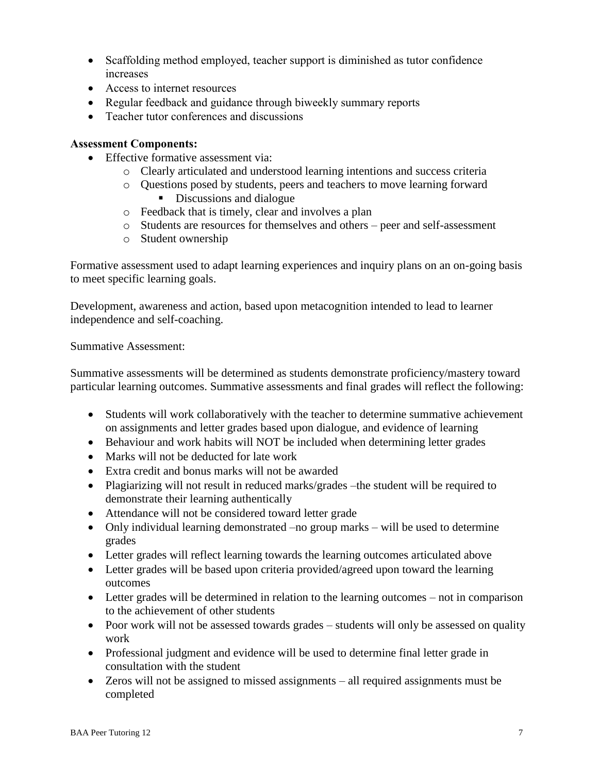- Scaffolding method employed, teacher support is diminished as tutor confidence increases
- Access to internet resources
- Regular feedback and guidance through biweekly summary reports
- Teacher tutor conferences and discussions

#### **Assessment Components:**

- Effective formative assessment via:
	- o Clearly articulated and understood learning intentions and success criteria
	- o Questions posed by students, peers and teachers to move learning forward Discussions and dialogue
	- o Feedback that is timely, clear and involves a plan
	- o Students are resources for themselves and others peer and self-assessment
	- o Student ownership

Formative assessment used to adapt learning experiences and inquiry plans on an on-going basis to meet specific learning goals.

Development, awareness and action, based upon metacognition intended to lead to learner independence and self-coaching.

Summative Assessment:

Summative assessments will be determined as students demonstrate proficiency/mastery toward particular learning outcomes. Summative assessments and final grades will reflect the following:

- Students will work collaboratively with the teacher to determine summative achievement on assignments and letter grades based upon dialogue, and evidence of learning
- Behaviour and work habits will NOT be included when determining letter grades
- Marks will not be deducted for late work
- Extra credit and bonus marks will not be awarded
- Plagiarizing will not result in reduced marks/grades –the student will be required to demonstrate their learning authentically
- Attendance will not be considered toward letter grade
- Only individual learning demonstrated –no group marks will be used to determine grades
- Letter grades will reflect learning towards the learning outcomes articulated above
- Letter grades will be based upon criteria provided/agreed upon toward the learning outcomes
- Letter grades will be determined in relation to the learning outcomes not in comparison to the achievement of other students
- Poor work will not be assessed towards grades students will only be assessed on quality work
- Professional judgment and evidence will be used to determine final letter grade in consultation with the student
- Zeros will not be assigned to missed assignments all required assignments must be completed